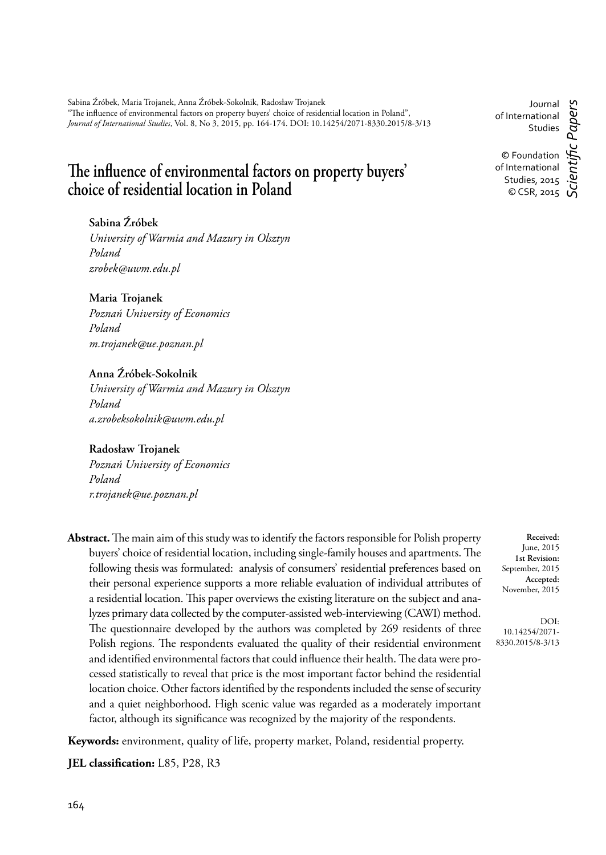Sabina Źróbek, Maria Trojanek, Anna Źróbek-Sokolnik, Radosław Trojanek "The influence of environmental factors on property buyers' choice of residential location in Poland", *Journal of International Studies*, Vol. 8, No 3, 2015, pp. 164-174. DOI: 10.14254/2071-8330.2015/8-3/13

# The influence of environmental factors on property buyers' choice of residential location in Poland

# **Sabina Źróbek**

*University of Warmia and Mazury in Olsztyn Poland zrobek@uwm.edu.pl*

# **Maria Trojanek**

*Poznań University of Economics Poland m.trojanek@ue.poznan.pl*

## **Anna Źróbek-Sokolnik**

*University of Warmia and Mazury in Olsztyn Poland a.zrobeksokolnik@uwm.edu.pl*

#### **Radosław Trojanek**

*Poznań University of Economics Poland r.trojanek@ue.poznan.pl*

Abstract. The main aim of this study was to identify the factors responsible for Polish property buyers' choice of residential location, including single-family houses and apartments. The following thesis was formulated: analysis of consumers' residential preferences based on their personal experience supports a more reliable evaluation of individual attributes of a residential location. This paper overviews the existing literature on the subject and analyzes primary data collected by the computer-assisted web-interviewing (CAWI) method. The questionnaire developed by the authors was completed by 269 residents of three Polish regions. The respondents evaluated the quality of their residential environment and identified environmental factors that could influence their health. The data were processed statistically to reveal that price is the most important factor behind the residential location choice. Other factors identified by the respondents included the sense of security and a quiet neighborhood. High scenic value was regarded as a moderately important factor, although its significance was recognized by the majority of the respondents.

**Keywords:** environment, quality of life, property market, Poland, residential property.

**JEL classification:** L85, P28, R3

DOI: 10.14254/2071- 8330.2015/8-3/13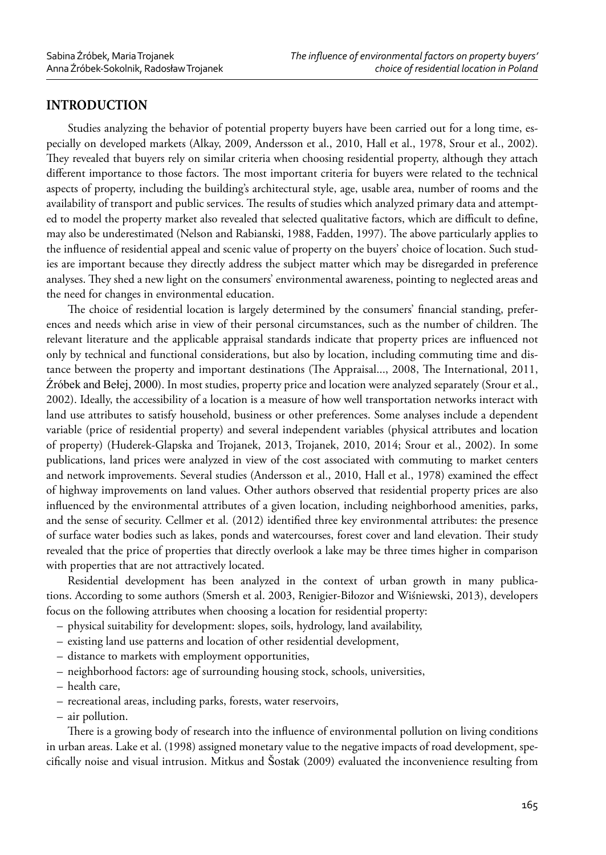# **INTRODUCTION**

Studies analyzing the behavior of potential property buyers have been carried out for a long time, especially on developed markets (Alkay, 2009, Andersson et al., 2010, Hall et al., 1978, Srour et al., 2002). They revealed that buyers rely on similar criteria when choosing residential property, although they attach different importance to those factors. The most important criteria for buyers were related to the technical aspects of property, including the building's architectural style, age, usable area, number of rooms and the availability of transport and public services. The results of studies which analyzed primary data and attempted to model the property market also revealed that selected qualitative factors, which are difficult to define, may also be underestimated (Nelson and Rabianski, 1988, Fadden, 1997). The above particularly applies to the influence of residential appeal and scenic value of property on the buyers' choice of location. Such studies are important because they directly address the subject matter which may be disregarded in preference analyses. They shed a new light on the consumers' environmental awareness, pointing to neglected areas and the need for changes in environmental education.

The choice of residential location is largely determined by the consumers' financial standing, preferences and needs which arise in view of their personal circumstances, such as the number of children. The relevant literature and the applicable appraisal standards indicate that property prices are influenced not only by technical and functional considerations, but also by location, including commuting time and distance between the property and important destinations (The Appraisal..., 2008, The International, 2011, Źróbek and Bełej, 2000). In most studies, property price and location were analyzed separately (Srour et al., 2002). Ideally, the accessibility of a location is a measure of how well transportation networks interact with land use attributes to satisfy household, business or other preferences. Some analyses include a dependent variable (price of residential property) and several independent variables (physical attributes and location of property) (Huderek-Glapska and Trojanek, 2013, Trojanek, 2010, 2014; Srour et al., 2002). In some publications, land prices were analyzed in view of the cost associated with commuting to market centers and network improvements. Several studies (Andersson et al., 2010, Hall et al., 1978) examined the effect of highway improvements on land values. Other authors observed that residential property prices are also influenced by the environmental attributes of a given location, including neighborhood amenities, parks, and the sense of security. Cellmer et al. (2012) identified three key environmental attributes: the presence of surface water bodies such as lakes, ponds and watercourses, forest cover and land elevation. Their study revealed that the price of properties that directly overlook a lake may be three times higher in comparison with properties that are not attractively located.

Residential development has been analyzed in the context of urban growth in many publications. According to some authors (Smersh et al. 2003, Renigier-Biłozor and Wiśniewski, 2013), developers focus on the following attributes when choosing a location for residential property:

- physical suitability for development: slopes, soils, hydrology, land availability,
- existing land use patterns and location of other residential development,
- distance to markets with employment opportunities,
- neighborhood factors: age of surrounding housing stock, schools, universities,
- health care,
- recreational areas, including parks, forests, water reservoirs,
- air pollution.

There is a growing body of research into the influence of environmental pollution on living conditions in urban areas. Lake et al. (1998) assigned monetary value to the negative impacts of road development, specifically noise and visual intrusion. Mitkus and Sostak (2009) evaluated the inconvenience resulting from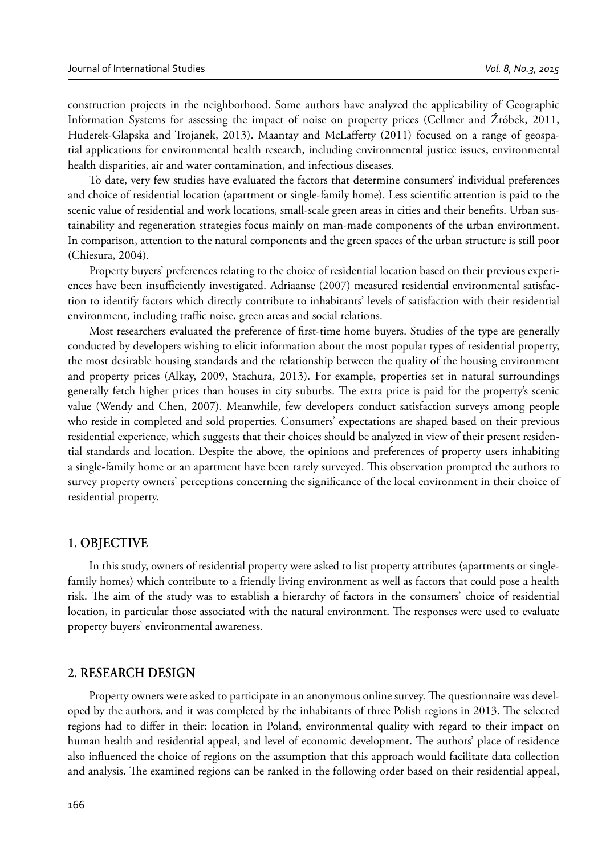construction projects in the neighborhood. Some authors have analyzed the applicability of Geographic Information Systems for assessing the impact of noise on property prices (Cellmer and Źróbek, 2011, Huderek-Glapska and Trojanek, 2013). Maantay and McLafferty (2011) focused on a range of geospatial applications for environmental health research, including environmental justice issues, environmental health disparities, air and water contamination, and infectious diseases.

To date, very few studies have evaluated the factors that determine consumers' individual preferences and choice of residential location (apartment or single-family home). Less scientific attention is paid to the scenic value of residential and work locations, small-scale green areas in cities and their benefits. Urban sustainability and regeneration strategies focus mainly on man-made components of the urban environment. In comparison, attention to the natural components and the green spaces of the urban structure is still poor (Chiesura, 2004).

Property buyers' preferences relating to the choice of residential location based on their previous experiences have been insufficiently investigated. Adriaanse (2007) measured residential environmental satisfaction to identify factors which directly contribute to inhabitants' levels of satisfaction with their residential environment, including traffic noise, green areas and social relations.

Most researchers evaluated the preference of first-time home buyers. Studies of the type are generally conducted by developers wishing to elicit information about the most popular types of residential property, the most desirable housing standards and the relationship between the quality of the housing environment and property prices (Alkay, 2009, Stachura, 2013). For example, properties set in natural surroundings generally fetch higher prices than houses in city suburbs. The extra price is paid for the property's scenic value (Wendy and Chen, 2007). Meanwhile, few developers conduct satisfaction surveys among people who reside in completed and sold properties. Consumers' expectations are shaped based on their previous residential experience, which suggests that their choices should be analyzed in view of their present residential standards and location. Despite the above, the opinions and preferences of property users inhabiting a single-family home or an apartment have been rarely surveyed. This observation prompted the authors to survey property owners' perceptions concerning the significance of the local environment in their choice of residential property.

#### **1. OBJECTIVE**

In this study, owners of residential property were asked to list property attributes (apartments or singlefamily homes) which contribute to a friendly living environment as well as factors that could pose a health risk. The aim of the study was to establish a hierarchy of factors in the consumers' choice of residential location, in particular those associated with the natural environment. The responses were used to evaluate property buyers' environmental awareness.

#### **2. RESEARCH DESIGN**

Property owners were asked to participate in an anonymous online survey. The questionnaire was developed by the authors, and it was completed by the inhabitants of three Polish regions in 2013. The selected regions had to differ in their: location in Poland, environmental quality with regard to their impact on human health and residential appeal, and level of economic development. The authors' place of residence also influenced the choice of regions on the assumption that this approach would facilitate data collection and analysis. The examined regions can be ranked in the following order based on their residential appeal,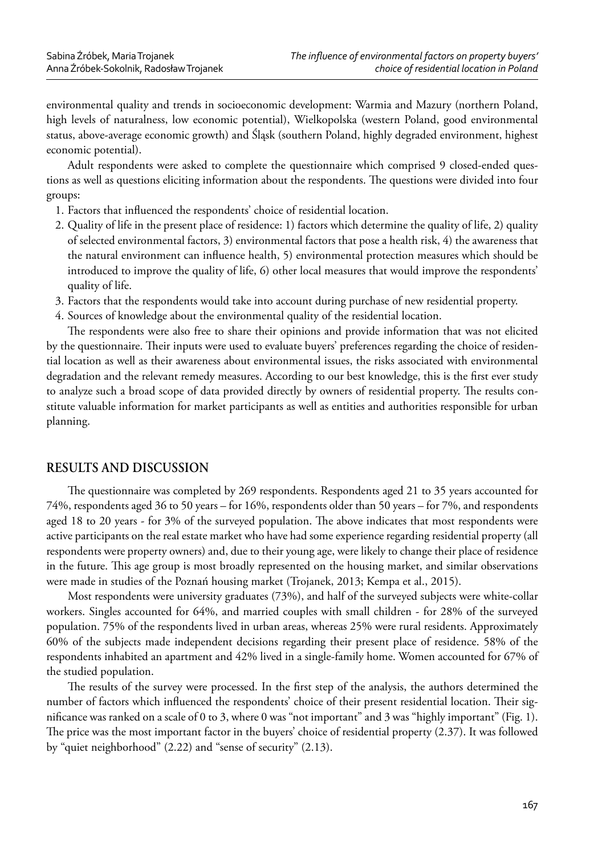environmental quality and trends in socioeconomic development: Warmia and Mazury (northern Poland, high levels of naturalness, low economic potential), Wielkopolska (western Poland, good environmental status, above-average economic growth) and Śląsk (southern Poland, highly degraded environment, highest economic potential).

Adult respondents were asked to complete the questionnaire which comprised 9 closed-ended questions as well as questions eliciting information about the respondents. The questions were divided into four groups:

- 1. Factors that influenced the respondents' choice of residential location.
- 2. Quality of life in the present place of residence: 1) factors which determine the quality of life, 2) quality of selected environmental factors, 3) environmental factors that pose a health risk, 4) the awareness that the natural environment can influence health, 5) environmental protection measures which should be introduced to improve the quality of life, 6) other local measures that would improve the respondents' quality of life.
- 3. Factors that the respondents would take into account during purchase of new residential property.
- 4. Sources of knowledge about the environmental quality of the residential location.

The respondents were also free to share their opinions and provide information that was not elicited by the questionnaire. Their inputs were used to evaluate buyers' preferences regarding the choice of residential location as well as their awareness about environmental issues, the risks associated with environmental degradation and the relevant remedy measures. According to our best knowledge, this is the first ever study to analyze such a broad scope of data provided directly by owners of residential property. The results constitute valuable information for market participants as well as entities and authorities responsible for urban planning.

# **RESULTS AND DISCUSSION**

The questionnaire was completed by 269 respondents. Respondents aged 21 to 35 years accounted for 74%, respondents aged 36 to 50 years – for 16%, respondents older than 50 years – for 7%, and respondents aged 18 to 20 years - for 3% of the surveyed population. The above indicates that most respondents were active participants on the real estate market who have had some experience regarding residential property (all respondents were property owners) and, due to their young age, were likely to change their place of residence in the future. This age group is most broadly represented on the housing market, and similar observations were made in studies of the Poznań housing market (Trojanek, 2013; Kempa et al., 2015).

Most respondents were university graduates (73%), and half of the surveyed subjects were white-collar workers. Singles accounted for 64%, and married couples with small children - for 28% of the surveyed population. 75% of the respondents lived in urban areas, whereas 25% were rural residents. Approximately 60% of the subjects made independent decisions regarding their present place of residence. 58% of the respondents inhabited an apartment and 42% lived in a single-family home. Women accounted for 67% of the studied population.

The results of the survey were processed. In the first step of the analysis, the authors determined the number of factors which influenced the respondents' choice of their present residential location. Their significance was ranked on a scale of 0 to 3, where 0 was "not important" and 3 was "highly important" (Fig. 1). The price was the most important factor in the buyers' choice of residential property (2.37). It was followed by "quiet neighborhood" (2.22) and "sense of security" (2.13).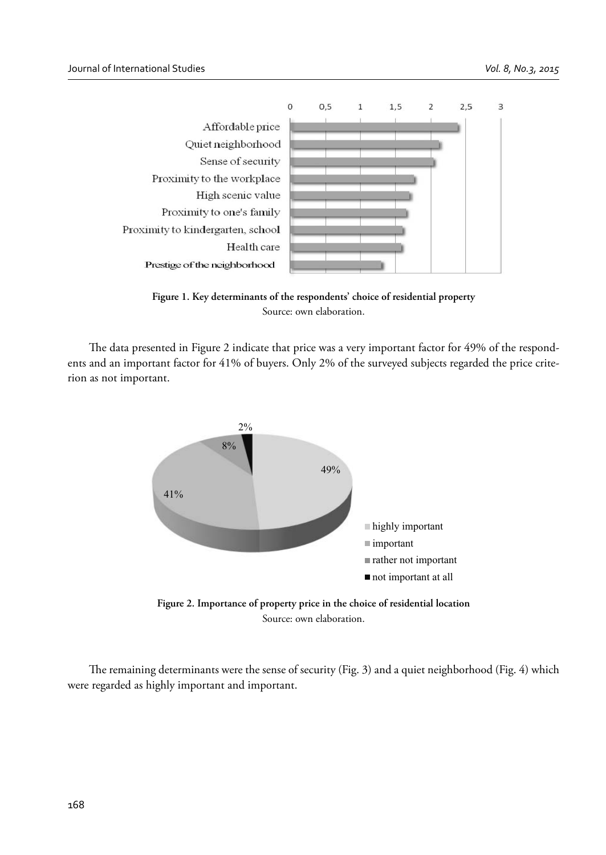



The data presented in Figure 2 indicate that price was a very important factor for 49% of the respondents and an important factor for 41% of buyers. Only 2% of the surveyed subjects regarded the price criterion as not important.



**Figure 2. Importance of property price in the choice of residential location** Source: own elaboration.

The remaining determinants were the sense of security (Fig. 3) and a quiet neighborhood (Fig. 4) which were regarded as highly important and important.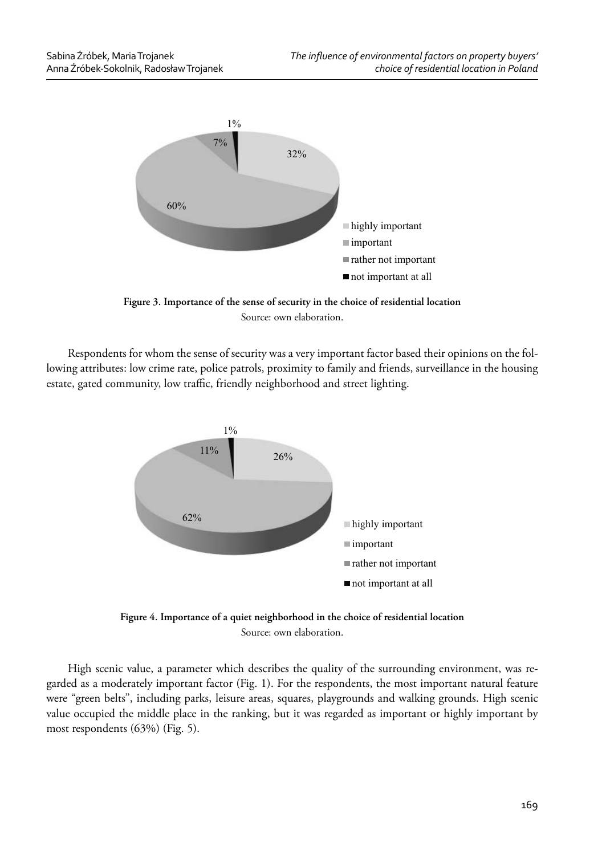

**Figure 3. Importance of the sense of security in the choice of residential location** Source: own elaboration.

Respondents for whom the sense of security was a very important factor based their opinions on the following attributes: low crime rate, police patrols, proximity to family and friends, surveillance in the housing estate, gated community, low traffic, friendly neighborhood and street lighting.



**Figure 4. Importance of a quiet neighborhood in the choice of residential location** Source: own elaboration.

High scenic value, a parameter which describes the quality of the surrounding environment, was regarded as a moderately important factor (Fig. 1). For the respondents, the most important natural feature were "green belts", including parks, leisure areas, squares, playgrounds and walking grounds. High scenic value occupied the middle place in the ranking, but it was regarded as important or highly important by most respondents (63%) (Fig. 5).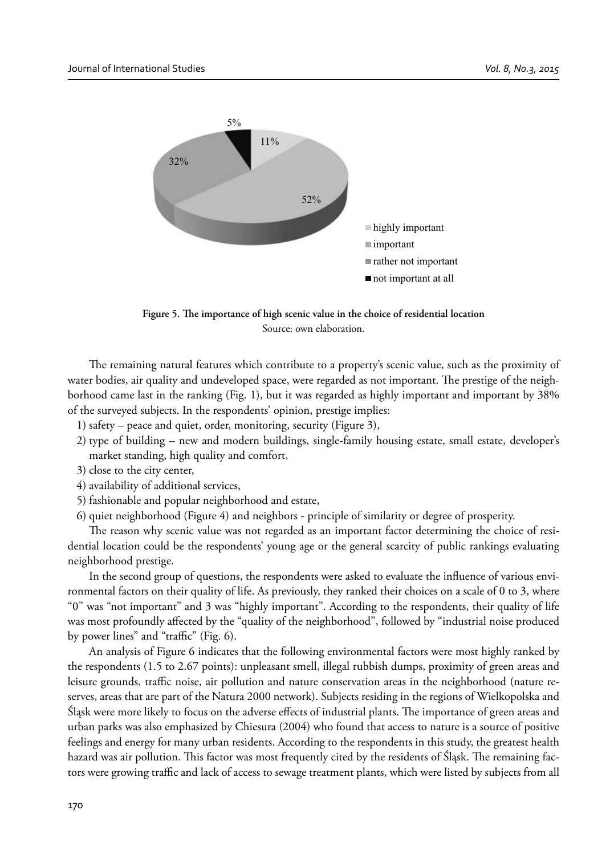

Figure 5. The importance of high scenic value in the choice of residential location Source: own elaboration.

The remaining natural features which contribute to a property's scenic value, such as the proximity of water bodies, air quality and undeveloped space, were regarded as not important. The prestige of the neighborhood came last in the ranking (Fig. 1), but it was regarded as highly important and important by 38% of the surveyed subjects. In the respondents' opinion, prestige implies:

- 1) safety peace and quiet, order, monitoring, security (Figure 3),
- 2) type of building new and modern buildings, single-family housing estate, small estate, developer's market standing, high quality and comfort,
- 3) close to the city center,
- 4) availability of additional services,
- 5) fashionable and popular neighborhood and estate,
- 6) quiet neighborhood (Figure 4) and neighbors principle of similarity or degree of prosperity.

The reason why scenic value was not regarded as an important factor determining the choice of residential location could be the respondents' young age or the general scarcity of public rankings evaluating neighborhood prestige.

In the second group of questions, the respondents were asked to evaluate the influence of various environmental factors on their quality of life. As previously, they ranked their choices on a scale of 0 to 3, where "0" was "not important" and 3 was "highly important". According to the respondents, their quality of life was most profoundly affected by the "quality of the neighborhood", followed by "industrial noise produced by power lines" and "traffic" (Fig.  $6$ ).

An analysis of Figure 6 indicates that the following environmental factors were most highly ranked by the respondents (1.5 to 2.67 points): unpleasant smell, illegal rubbish dumps, proximity of green areas and leisure grounds, traffic noise, air pollution and nature conservation areas in the neighborhood (nature reserves, areas that are part of the Natura 2000 network). Subjects residing in the regions of Wielkopolska and Śląsk were more likely to focus on the adverse effects of industrial plants. The importance of green areas and urban parks was also emphasized by Chiesura (2004) who found that access to nature is a source of positive feelings and energy for many urban residents. According to the respondents in this study, the greatest health hazard was air pollution. This factor was most frequently cited by the residents of Śląsk. The remaining factors were growing traffic and lack of access to sewage treatment plants, which were listed by subjects from all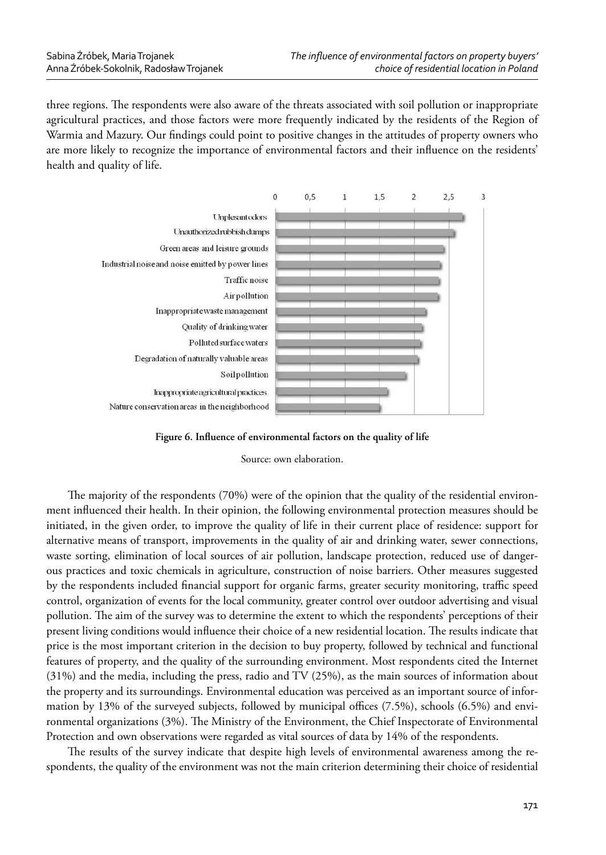three regions. The respondents were also aware of the threats associated with soil pollution or inappropriate agricultural practices, and those factors were more frequently indicated by the residents of the Region of Warmia and Mazury. Our findings could point to positive changes in the attitudes of property owners who are more likely to recognize the importance of environmental factors and their influence on the residents' health and quality of life.



Figure 6. Influence of environmental factors on the quality of life

Source: own elaboration.

The majority of the respondents  $(70%)$  were of the opinion that the quality of the residential environment influenced their health. In their opinion, the following environmental protection measures should be initiated, in the given order, to improve the quality of life in their current place of residence: support for alternative means of transport, improvements in the quality of air and drinking water, sewer connections, waste sorting, elimination of local sources of air pollution, landscape protection, reduced use of dangerous practices and toxic chemicals in agriculture, construction of noise barriers. Other measures suggested by the respondents included financial support for organic farms, greater security monitoring, traffic speed control, organization of events for the local community, greater control over outdoor advertising and visual pollution. The aim of the survey was to determine the extent to which the respondents' perceptions of their present living conditions would influence their choice of a new residential location. The results indicate that price is the most important criterion in the decision to buy property, followed by technical and functional features of property, and the quality of the surrounding environment. Most respondents cited the Internet (31%) and the media, including the press, radio and TV (25%), as the main sources of information about the property and its surroundings. Environmental education was perceived as an important source of information by 13% of the surveyed subjects, followed by municipal offices  $(7.5%)$ , schools  $(6.5%)$  and environmental organizations (3%). The Ministry of the Environment, the Chief Inspectorate of Environmental Protection and own observations were regarded as vital sources of data by 14% of the respondents.

The results of the survey indicate that despite high levels of environmental awareness among the respondents, the quality of the environment was not the main criterion determining their choice of residential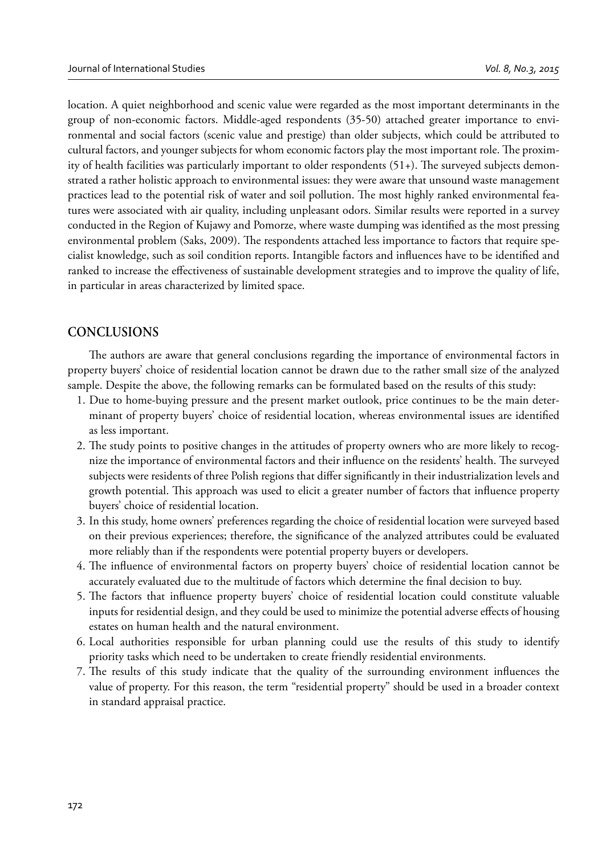location. A quiet neighborhood and scenic value were regarded as the most important determinants in the group of non-economic factors. Middle-aged respondents (35-50) attached greater importance to environmental and social factors (scenic value and prestige) than older subjects, which could be attributed to cultural factors, and younger subjects for whom economic factors play the most important role. The proximity of health facilities was particularly important to older respondents  $(51+)$ . The surveyed subjects demonstrated a rather holistic approach to environmental issues: they were aware that unsound waste management practices lead to the potential risk of water and soil pollution. The most highly ranked environmental features were associated with air quality, including unpleasant odors. Similar results were reported in a survey conducted in the Region of Kujawy and Pomorze, where waste dumping was identified as the most pressing environmental problem (Saks, 2009). The respondents attached less importance to factors that require specialist knowledge, such as soil condition reports. Intangible factors and influences have to be identified and ranked to increase the effectiveness of sustainable development strategies and to improve the quality of life, in particular in areas characterized by limited space.

# **CONCLUSIONS**

The authors are aware that general conclusions regarding the importance of environmental factors in property buyers' choice of residential location cannot be drawn due to the rather small size of the analyzed sample. Despite the above, the following remarks can be formulated based on the results of this study:

- 1. Due to home-buying pressure and the present market outlook, price continues to be the main determinant of property buyers' choice of residential location, whereas environmental issues are identified as less important.
- 2. The study points to positive changes in the attitudes of property owners who are more likely to recognize the importance of environmental factors and their influence on the residents' health. The surveyed subjects were residents of three Polish regions that differ significantly in their industrialization levels and growth potential. This approach was used to elicit a greater number of factors that influence property buyers' choice of residential location.
- 3. In this study, home owners' preferences regarding the choice of residential location were surveyed based on their previous experiences; therefore, the significance of the analyzed attributes could be evaluated more reliably than if the respondents were potential property buyers or developers.
- 4. The influence of environmental factors on property buyers' choice of residential location cannot be accurately evaluated due to the multitude of factors which determine the final decision to buy.
- 5. The factors that influence property buyers' choice of residential location could constitute valuable inputs for residential design, and they could be used to minimize the potential adverse effects of housing estates on human health and the natural environment.
- 6. Local authorities responsible for urban planning could use the results of this study to identify priority tasks which need to be undertaken to create friendly residential environments.
- 7. The results of this study indicate that the quality of the surrounding environment influences the value of property. For this reason, the term "residential property" should be used in a broader context in standard appraisal practice.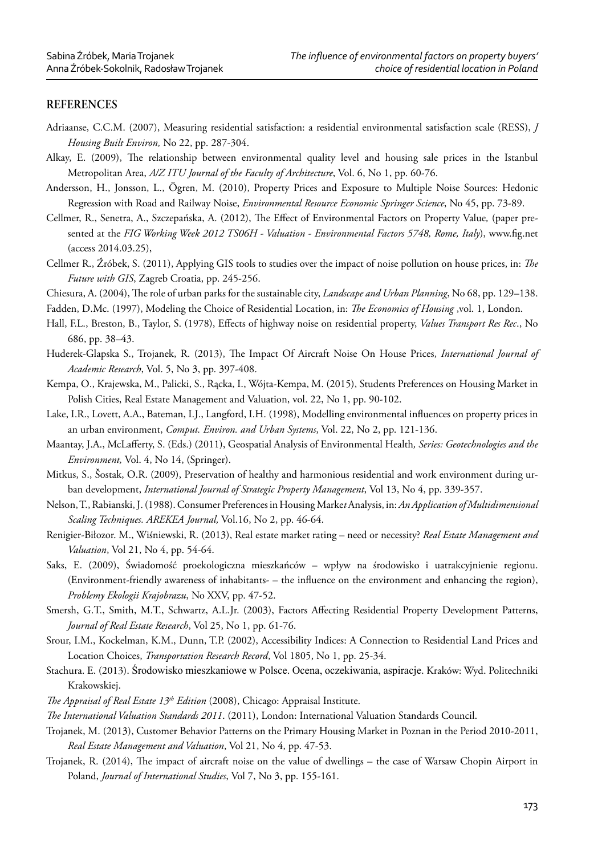## **REFERENCES**

- Adriaanse, C.C.M. (2007), Measuring residential satisfaction: a residential environmental satisfaction scale (RESS), *J Housing Built Environ,* No 22, pp. 287-304.
- Alkay, E. (2009), The relationship between environmental quality level and housing sale prices in the Istanbul Metropolitan Area, *A/Z ITU Journal of the Faculty of Architecture*, Vol. 6, No 1, pp. 60-76.
- Andersson, H., Jonsson, L., Ögren, M. (2010), Property Prices and Exposure to Multiple Noise Sources: Hedonic Regression with Road and Railway Noise, *Environmental Resource Economic Springer Science*, No 45, pp. 73-89.
- Cellmer, R., Senetra, A., Szczepańska, A. (2012), The Effect of Environmental Factors on Property Value, (paper presented at the FIG Working Week 2012 TS06H - Valuation - Environmental Factors 5748, Rome, Italy), www.fig.net (access 2014.03.25),
- Cellmer R., Źróbek, S. (2011), Applying GIS tools to studies over the impact of noise pollution on house prices, in: *The Future with GIS*, Zagreb Croatia, pp. 245-256.
- Chiesura, A. (2004), The role of urban parks for the sustainable city, *Landscape and Urban Planning*, No 68, pp. 129–138.
- Fadden, D.Mc. (1997), Modeling the Choice of Residential Location, in: *The Economics of Housing* ,vol. 1, London.
- Hall, F.L., Breston, B., Taylor, S. (1978), Effects of highway noise on residential property, *Values Transport Res Rec.*, No 686, pp. 38–43.
- Huderek-Glapska S., Trojanek, R. (2013), The Impact Of Aircraft Noise On House Prices, *International Journal of Academic Research*, Vol. 5, No 3, pp. 397-408.
- Kempa, O., Krajewska, M., Palicki, S., Rącka, I., Wójta-Kempa, M. (2015), Students Preferences on Housing Market in Polish Cities, Real Estate Management and Valuation, vol. 22, No 1, pp. 90-102.
- Lake, I.R., Lovett, A.A., Bateman, I.J., Langford, I.H. (1998), Modelling environmental influences on property prices in an urban environment, *Comput. Environ. and Urban Systems*, Vol. 22, No 2, pp. 121-136.
- Maantay, J.A., McLafferty, S. (Eds.) (2011), Geospatial Analysis of Environmental Health, Series: Geotechnologies and the *Environment,* Vol. 4, No 14, (Springer).
- Mitkus, S., Šostak, O.R. (2009), Preservation of healthy and harmonious residential and work environment during urban development, *International Journal of Strategic Property Management*, Vol 13, No 4, pp. 339-357.
- Nelson, T., Rabianski, J. (1988). Consumer Preferences in Housing Marke*t* Analysis, in: *An Application of Multidimensional Scaling Techniques. AREKEA Journal,* Vol.16, No 2, pp. 46-64.
- Renigier-Biłozor. M., Wiśniewski, R. (2013), Real estate market rating need or necessity? *Real Estate Management and Valuation*, Vol 21, No 4, pp. 54-64.
- Saks, E. (2009), Świadomość proekologiczna mieszkańców wpływ na środowisko i uatrakcyjnienie regionu. (Environment-friendly awareness of inhabitants- – the influence on the environment and enhancing the region), *Problemy Ekologii Krajobrazu*, No XXV, pp. 47-52.
- Smersh, G.T., Smith, M.T., Schwartz, A.L.Jr. (2003), Factors Affecting Residential Property Development Patterns, *Journal of Real Estate Research*, Vol 25, No 1, pp. 61-76.
- Srour, I.M., Kockelman, K.M., Dunn, T.P. (2002), Accessibility Indices: A Connection to Residential Land Prices and Location Choices, *Transportation Research Record*, Vol 1805, No 1, pp. 25-34.
- Stachura. E. (2013). Środowisko mieszkaniowe w Polsce. Ocena, oczekiwania, aspiracje. Kraków: Wyd. Politechniki Krakowskiej.
- *The Appraisal of Real Estate 13<sup>th</sup> Edition* (2008), Chicago: Appraisal Institute.
- *The International Valuation Standards 2011*. (2011), London: International Valuation Standards Council.
- Trojanek, M. (2013), Customer Behavior Patterns on the Primary Housing Market in Poznan in the Period 2010-2011, *Real Estate Management and Valuation*, Vol 21, No 4, pp. 47-53.
- Trojanek, R. (2014), The impact of aircraft noise on the value of dwellings the case of Warsaw Chopin Airport in Poland, *Journal of International Studies*, Vol 7, No 3, pp. 155-161.